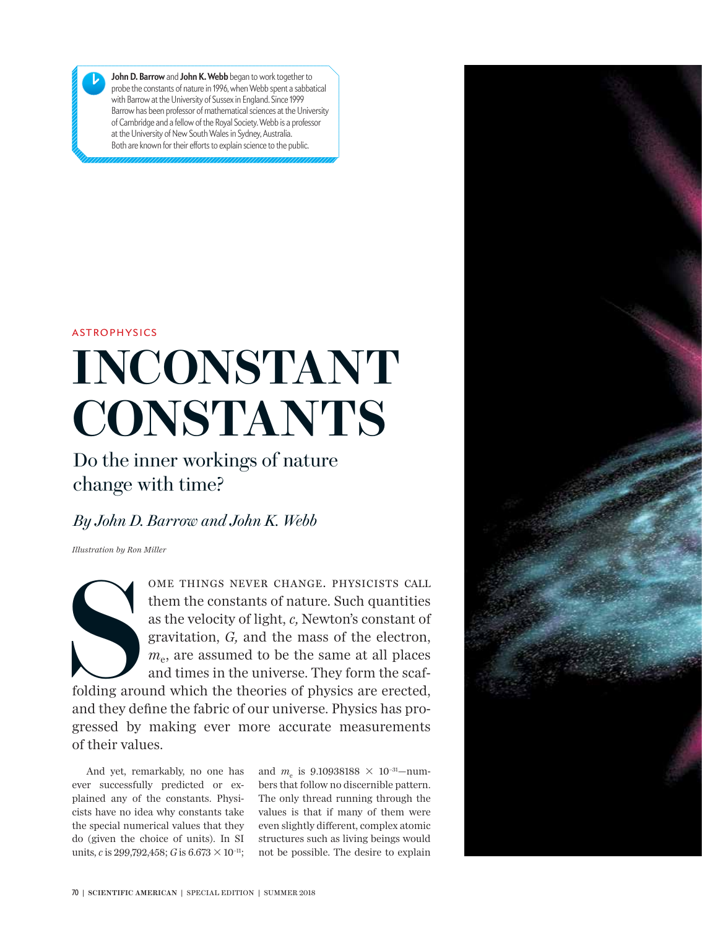**John D. Barrow** and **John K. Webb** began to work together to probe the constants of nature in 1996, when Webb spent a sabbatical with Barrow at the University of Sussex in England. Since 1999 Barrow has been professor of mathematical sciences at the University of Cambridge and a fellow of the Royal Society. Webb is a professor at the University of New South Wales in Sydney, Australia. Both are known for their efforts to explain science to the public.

#### **ASTROPHYSICS**

# INCONSTANT CONSTANTS

Do the inner workings of nature change with time?

*By John D. Barrow and John K. Webb* 

*Illustration by Ron Miller*

ome things never change. physicists call them the constants of nature. Such quantities as the velocity of light, *c,* Newton's constant of gravitation, *G,* and the mass of the electron,  $m_e$ , are assumed to be the same at all places and times in the universe. They form the scaf-

solding arou folding around which the theories of physics are erected, and they define the fabric of our universe. Physics has progressed by making ever more accurate measurements of their values.

And yet, remarkably, no one has ever successfully predicted or explained any of the constants. Physicists have no idea why constants take the special numerical values that they do (given the choice of units). In SI units, *c* is 299,792,458; *G* is  $6.673 \times 10^{-11}$ ;

and  $m_e$  is 9.10938188  $\times$  10<sup>-31</sup>-numbers that follow no discernible pattern. The only thread running through the values is that if many of them were even slightly different, complex atomic structures such as living beings would not be possible. The desire to explain

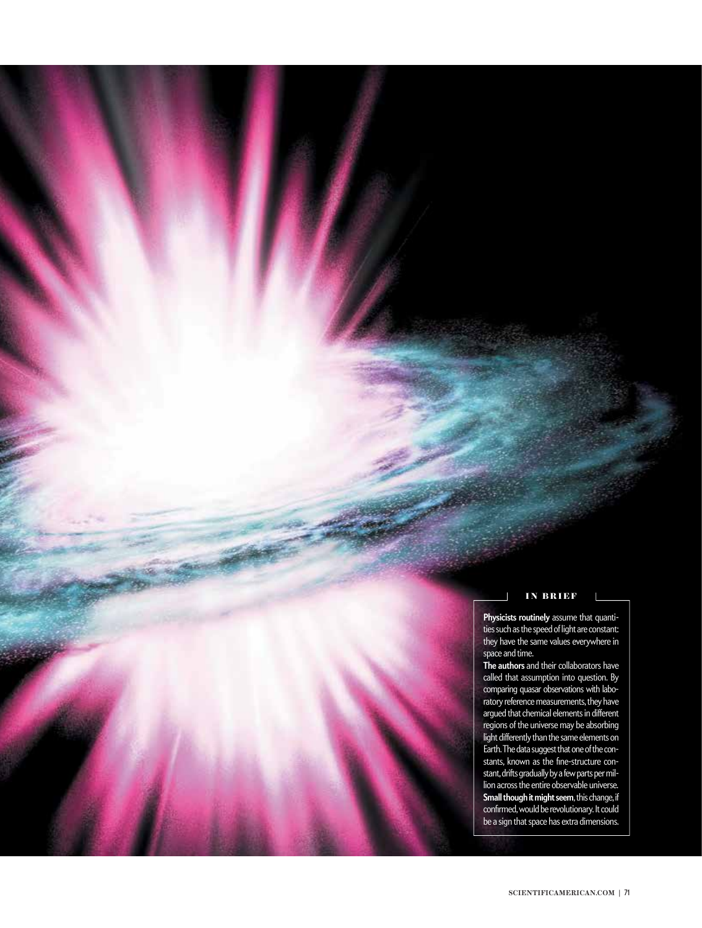

#### **IN BRIEF**

**Physicists routinely** assume that quantities such as the speed of light are constant: they have the same values everywhere in space and time.

**The authors** and their collaborators have called that assumption into question. By comparing quasar observations with laboratory reference measurements, they have argued that chemical elements in different regions of the universe may be absorbing light differently than the same elements on Earth. The data suggest that one of the constants, known as the fine-structure constant, drifts gradually by a few parts per million across the entire observable universe. **Small though it might seem**, this change, if confirmed, would be revolutionary. It could be a sign that space has extra dimensions.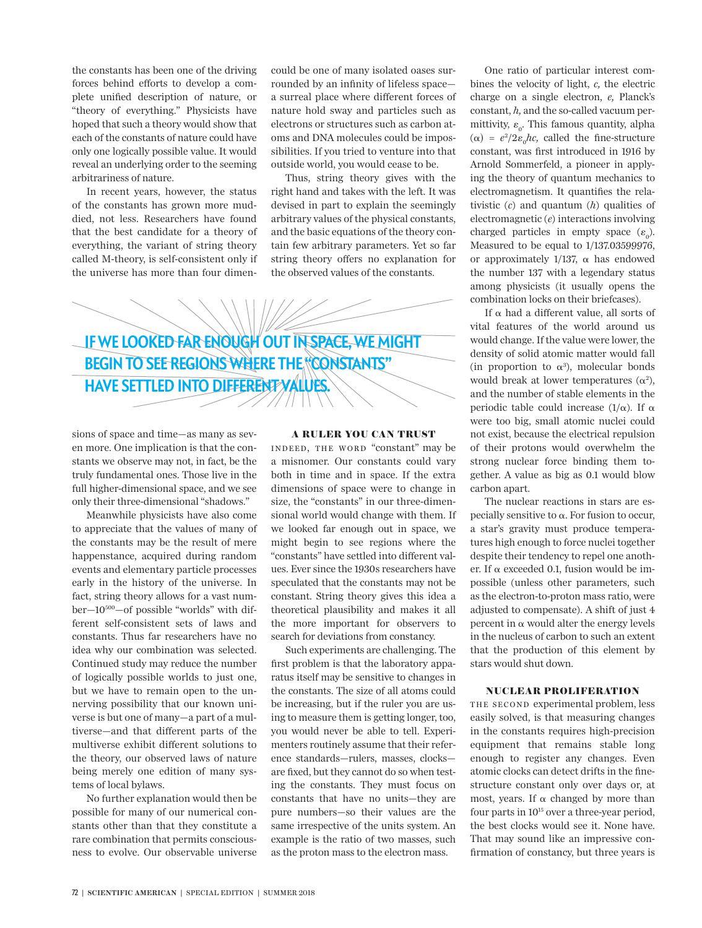the constants has been one of the driving forces behind efforts to develop a complete unified description of nature, or "theory of everything." Physicists have hoped that such a theory would show that each of the constants of nature could have only one logically possible value. It would reveal an underlying order to the seeming arbitrariness of nature.

In recent years, however, the status of the constants has grown more muddied, not less. Researchers have found that the best candidate for a theory of everything, the variant of string theory called M-theory, is self-consistent only if the universe has more than four dimencould be one of many isolated oases surrounded by an infinity of lifeless space a surreal place where different forces of nature hold sway and particles such as electrons or structures such as carbon atoms and DNA molecules could be impossibilities. If you tried to venture into that outside world, you would cease to be.

Thus, string theory gives with the right hand and takes with the left. It was devised in part to explain the seemingly arbitrary values of the physical constants, and the basic equations of the theory contain few arbitrary parameters. Yet so far string theory offers no explanation for the observed values of the constants.

**IF WE LOOKED FAR ENOUGH OUT IN SPACE, WE MIGHT BEGIN TO SEE REGIONS WHERE THE "CONSTANTS" HAVE SETTLED INTO DIFFERENT VALUES** 

sions of space and time—as many as seven more. One implication is that the constants we observe may not, in fact, be the truly fundamental ones. Those live in the full higher-dimensional space, and we see only their three-dimensional "shadows."

Meanwhile physicists have also come to appreciate that the values of many of the constants may be the result of mere happenstance, acquired during random events and elementary particle processes early in the history of the universe. In fact, string theory allows for a vast number—10500—of possible "worlds" with different self-consistent sets of laws and constants. Thus far researchers have no idea why our combination was selected. Continued study may reduce the number of logically possible worlds to just one, but we have to remain open to the unnerving possibility that our known universe is but one of many—a part of a multiverse—and that different parts of the multiverse exhibit different solutions to the theory, our observed laws of nature being merely one edition of many systems of local bylaws.

No further explanation would then be possible for many of our numerical constants other than that they constitute a rare combination that permits consciousness to evolve. Our observable universe

#### **A RULER YOU CAN TRUST**

indeed, the word "constant" may be a misnomer. Our constants could vary both in time and in space. If the extra dimensions of space were to change in size, the "constants" in our three-dimensional world would change with them. If we looked far enough out in space, we might begin to see regions where the "constants" have settled into different values. Ever since the 1930s researchers have speculated that the constants may not be constant. String theory gives this idea a theoretical plausibility and makes it all the more important for observers to search for deviations from constancy.

Such experiments are challenging. The first problem is that the laboratory apparatus itself may be sensitive to changes in the constants. The size of all atoms could be increasing, but if the ruler you are using to measure them is getting longer, too, you would never be able to tell. Experimenters routinely assume that their reference standards—rulers, masses, clocks are fixed, but they cannot do so when testing the constants. They must focus on constants that have no units—they are pure numbers—so their values are the same irrespective of the units system. An example is the ratio of two masses, such as the proton mass to the electron mass.

One ratio of particular interest combines the velocity of light, *c,* the electric charge on a single electron, *e,* Planck's constant, *h,* and the so-called vacuum permittivity,  $\varepsilon_{_0}.$  This famous quantity, alpha  $(\alpha) = e^2/2\varepsilon_0 hc$ , called the fine-structure constant, was first introduced in 1916 by Arnold Sommerfeld, a pioneer in applying the theory of quantum mechanics to electromagnetism. It quantifies the relativistic (*c*) and quantum (*h*) qualities of electromagnetic (*e*) interactions involving charged particles in empty space  $(\varepsilon_0)$ . Measured to be equal to 1/137.03599976, or approximately  $1/137$ ,  $\alpha$  has endowed the number 137 with a legendary status among physicists (it usually opens the combination locks on their briefcases).

If  $\alpha$  had a different value, all sorts of vital features of the world around us would change. If the value were lower, the density of solid atomic matter would fall (in proportion to  $\alpha^3$ ), molecular bonds would break at lower temperatures  $(\alpha^2)$ , and the number of stable elements in the periodic table could increase ( $1/\alpha$ ). If  $\alpha$ were too big, small atomic nuclei could not exist, because the electrical repulsion of their protons would overwhelm the strong nuclear force binding them together. A value as big as 0.1 would blow carbon apart.

The nuclear reactions in stars are especially sensitive to α. For fusion to occur, a star's gravity must produce temperatures high enough to force nuclei together despite their tendency to repel one another. If  $\alpha$  exceeded 0.1, fusion would be impossible (unless other parameters, such as the electron-to-proton mass ratio, were adjusted to compensate). A shift of just 4 percent in  $\alpha$  would alter the energy levels in the nucleus of carbon to such an extent that the production of this element by stars would shut down.

#### **NUCLEAR PROLIFERATION**

the second experimental problem, less easily solved, is that measuring changes in the constants requires high-precision equipment that remains stable long enough to register any changes. Even atomic clocks can detect drifts in the finestructure constant only over days or, at most, years. If  $\alpha$  changed by more than four parts in 1015 over a three-year period, the best clocks would see it. None have. That may sound like an impressive confirmation of constancy, but three years is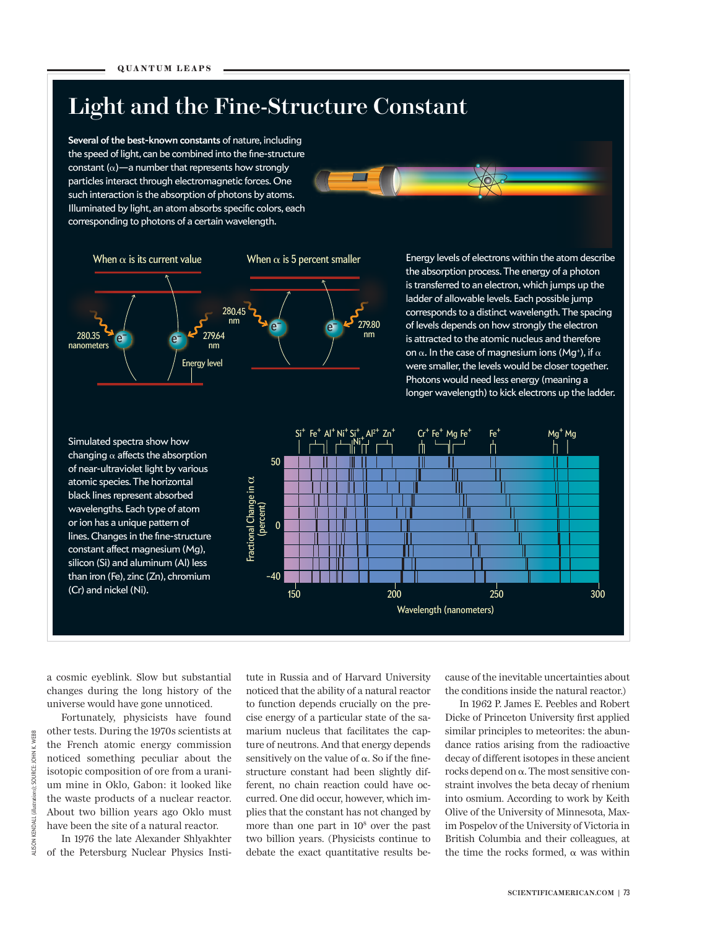**QUANTUM LEAPS** 

## Light and the Fine-Structure Constant

**Several of the best-known constants** of nature, including the speed of light, can be combined into the fine-structure constant  $(\alpha)$ —a number that represents how strongly particles interact through electromagnetic forces. One such interaction is the absorption of photons by atoms. Illuminated by light, an atom absorbs specific colors, each corresponding to photons of a certain wavelength.





Energy levels of electrons within the atom describe the absorption process. The energy of a photon is transferred to an electron, which jumps up the ladder of allowable levels. Each possible jump corresponds to a distinct wavelength. The spacing of levels depends on how strongly the electron is attracted to the atomic nucleus and therefore on  $\alpha$ . In the case of magnesium ions (Mg<sup>+</sup>), if  $\alpha$ were smaller, the levels would be closer together. Photons would need less energy (meaning a longer wavelength) to kick electrons up the ladder.

Simulated spectra show how changing  $\alpha$  affects the absorption of near-ultraviolet light by various atomic species. The horizontal black lines represent absorbed wavelengths. Each type of atom or ion has a unique pattern of lines. Changes in the fine-structure constant affect magnesium (Mg), silicon (Si) and aluminum (Al) less than iron (Fe), zinc (Zn), chromium (Cr) and nickel (Ni).



a cosmic eyeblink. Slow but substantial changes during the long history of the universe would have gone unnoticed.

Fortunately, physicists have found other tests. During the 1970s scientists at the French atomic energy commission noticed something peculiar about the isotopic composition of ore from a uranium mine in Oklo, Gabon: it looked like the waste products of a nuclear reactor. About two billion years ago Oklo must have been the site of a natural reactor.

In 1976 the late Alexander Shlyakhter of the Petersburg Nuclear Physics Institute in Russia and of Harvard University noticed that the ability of a natural reactor to function depends crucially on the precise energy of a particular state of the samarium nucleus that facilitates the capture of neutrons. And that energy depends sensitively on the value of  $\alpha$ . So if the finestructure constant had been slightly different, no chain reaction could have occurred. One did occur, however, which implies that the constant has not changed by more than one part in  $10^8$  over the past two billion years. (Physicists continue to debate the exact quantitative results because of the inevitable uncertainties about the conditions inside the natural reactor.)

In 1962 P. James E. Peebles and Robert Dicke of Princeton University first applied similar principles to meteorites: the abundance ratios arising from the radioactive decay of different isotopes in these ancient rocks depend on α. The most sensitive constraint involves the beta decay of rhenium into osmium. According to work by Keith Olive of the University of Minnesota, Maxim Pospelov of the University of Victoria in British Columbia and their colleagues, at the time the rocks formed,  $\alpha$  was within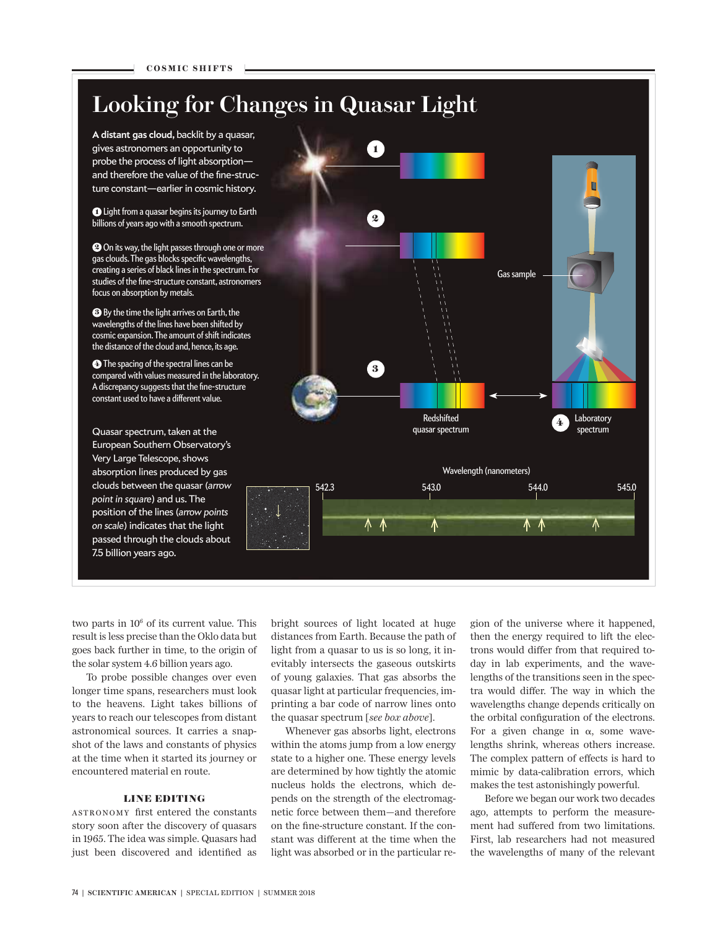# Looking for Changes in Quasar Light

**A distant gas cloud,** backlit by a quasar, gives astronomers an opportunity to probe the process of light absorption and therefore the value of the fine-structure constant—earlier in cosmic history.

**1** Light from a quasar begins its journey to Earth billions of years ago with a smooth spectrum.

**2** On its way, the light passes through one or more gas clouds. The gas blocks specific wavelengths, creating a series of black lines in the spectrum. For studies of the fine-structure constant, astronomers focus on absorption by metals.

**3** By the time the light arrives on Earth, the wavelengths of the lines have been shifted by cosmic expansion. The amount of shift indicates the distance of the cloud and, hence, its age.

**4** The spacing of the spectral lines can be compared with values measured in the laboratory. A discrepancy suggests that the fine-structure constant used to have a different value.

Quasar spectrum, taken at the European Southern Observatory's Very Large Telescope, shows absorption lines produced by gas clouds between the quasar (*arrow point in square*) and us. The position of the lines (*arrow points on scale*) indicates that the light passed through the clouds about 7.5 billion years ago.



two parts in 10<sup>6</sup> of its current value. This result is less precise than the Oklo data but goes back further in time, to the origin of the solar system 4.6 billion years ago.

To probe possible changes over even longer time spans, researchers must look to the heavens. Light takes billions of years to reach our telescopes from distant astronomical sources. It carries a snapshot of the laws and constants of physics at the time when it started its journey or encountered material en route.

#### **LINE EDITING**

astronomy first entered the constants story soon after the discovery of quasars in 1965. The idea was simple. Quasars had just been discovered and identified as

bright sources of light located at huge distances from Earth. Because the path of light from a quasar to us is so long, it inevitably intersects the gaseous outskirts of young galaxies. That gas absorbs the quasar light at particular frequencies, imprinting a bar code of narrow lines onto the quasar spectrum [*see box above*].

Whenever gas absorbs light, electrons within the atoms jump from a low energy state to a higher one. These energy levels are determined by how tightly the atomic nucleus holds the electrons, which depends on the strength of the electromagnetic force between them—and therefore on the fine-structure constant. If the constant was different at the time when the light was absorbed or in the particular region of the universe where it happened, then the energy required to lift the electrons would differ from that required today in lab experiments, and the wavelengths of the transitions seen in the spectra would differ. The way in which the wavelengths change depends critically on the orbital configuration of the electrons. For a given change in  $\alpha$ , some wavelengths shrink, whereas others increase. The complex pattern of effects is hard to mimic by data-calibration errors, which makes the test astonishingly powerful.

Before we began our work two decades ago, attempts to perform the measurement had suffered from two limitations. First, lab researchers had not measured the wavelengths of many of the relevant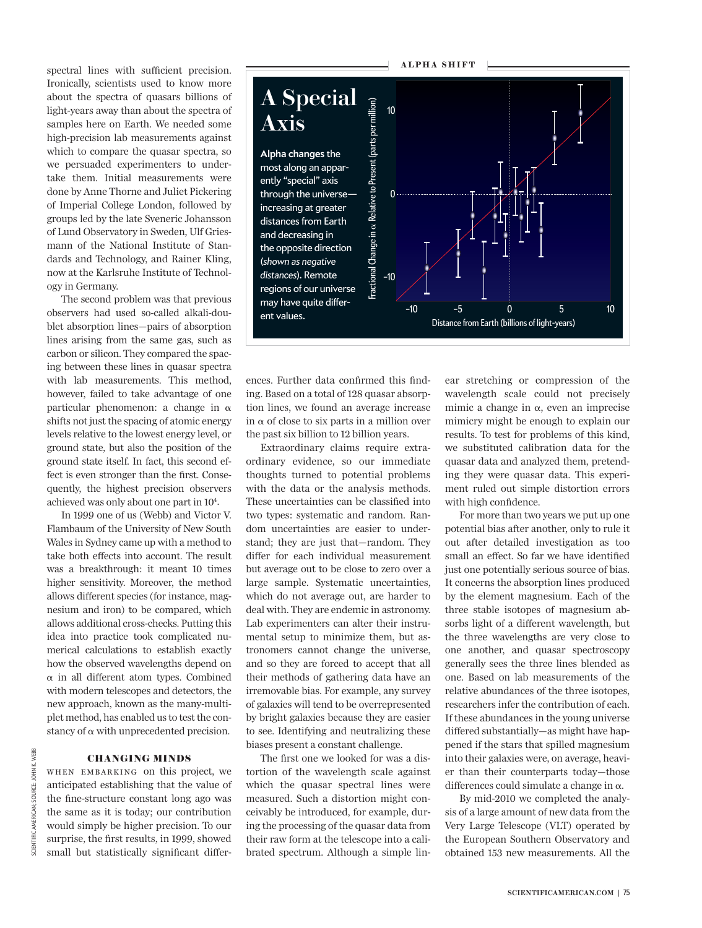spectral lines with sufficient precision. Ironically, scientists used to know more about the spectra of quasars billions of light-years away than about the spectra of samples here on Earth. We needed some high-precision lab measurements against which to compare the quasar spectra, so we persuaded experimenters to undertake them. Initial measurements were done by Anne Thorne and Juliet Pickering of Imperial College London, followed by groups led by the late Sveneric Johansson of Lund Observatory in Sweden, Ulf Griesmann of the National Institute of Standards and Technology, and Rainer Kling, now at the Karlsruhe Institute of Technology in Germany.

The second problem was that previous observers had used so-called alkali-doublet absorption lines—pairs of absorption lines arising from the same gas, such as carbon or silicon. They compared the spacing between these lines in quasar spectra with lab measurements. This method, however, failed to take advantage of one particular phenomenon: a change in  $\alpha$ shifts not just the spacing of atomic energy levels relative to the lowest energy level, or ground state, but also the position of the ground state itself. In fact, this second effect is even stronger than the first. Consequently, the highest precision observers achieved was only about one part in 10<sup>4</sup>.

In 1999 one of us (Webb) and Victor V. Flambaum of the University of New South Wales in Sydney came up with a method to take both effects into account. The result was a breakthrough: it meant 10 times higher sensitivity. Moreover, the method allows different species (for instance, magnesium and iron) to be compared, which allows additional cross-checks. Putting this idea into practice took complicated numerical calculations to establish exactly how the observed wavelengths depend on α in all different atom types. Combined with modern telescopes and detectors, the new approach, known as the many-multiplet method, has enabled us to test the constancy of  $\alpha$  with unprecedented precision.

#### **CHANGING MINDS**

when embarking on this project, we anticipated establishing that the value of the fine-structure constant long ago was the same as it is today; our contribution would simply be higher precision. To our surprise, the first results, in 1999, showed small but statistically significant differ-



ences. Further data confirmed this finding. Based on a total of 128 quasar absorption lines, we found an average increase in  $\alpha$  of close to six parts in a million over the past six billion to 12 billion years.

Extraordinary claims require extraordinary evidence, so our immediate thoughts turned to potential problems with the data or the analysis methods. These uncertainties can be classified into two types: systematic and random. Random uncertainties are easier to understand; they are just that—random. They differ for each individual measurement but average out to be close to zero over a large sample. Systematic uncertainties, which do not average out, are harder to deal with. They are endemic in astronomy. Lab experimenters can alter their instrumental setup to minimize them, but astronomers cannot change the universe, and so they are forced to accept that all their methods of gathering data have an irremovable bias. For example, any survey of galaxies will tend to be overrepresented by bright galaxies because they are easier to see. Identifying and neutralizing these biases present a constant challenge.

The first one we looked for was a distortion of the wavelength scale against which the quasar spectral lines were measured. Such a distortion might conceivably be introduced, for example, during the processing of the quasar data from their raw form at the telescope into a calibrated spectrum. Although a simple linear stretching or compression of the wavelength scale could not precisely mimic a change in  $\alpha$ , even an imprecise mimicry might be enough to explain our results. To test for problems of this kind, we substituted calibration data for the quasar data and analyzed them, pretending they were quasar data. This experiment ruled out simple distortion errors with high confidence.

For more than two years we put up one potential bias after another, only to rule it out after detailed investigation as too small an effect. So far we have identified just one potentially serious source of bias. It concerns the absorption lines produced by the element magnesium. Each of the three stable isotopes of magnesium absorbs light of a different wavelength, but the three wavelengths are very close to one another, and quasar spectroscopy generally sees the three lines blended as one. Based on lab measurements of the relative abundances of the three isotopes, researchers infer the contribution of each. If these abundances in the young universe differed substantially—as might have happened if the stars that spilled magnesium into their galaxies were, on average, heavier than their counterparts today—those differences could simulate a change in  $\alpha$ .

By mid-2010 we completed the analysis of a large amount of new data from the Very Large Telescope (VLT) operated by the European Southern Observatory and obtained 153 new measurements. All the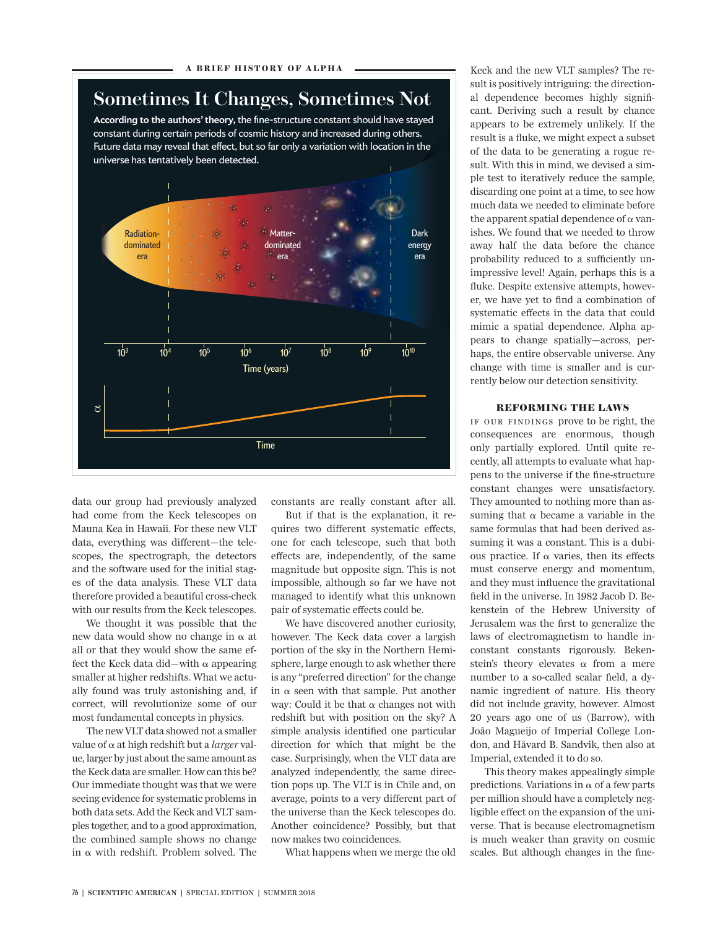### Sometimes It Changes, Sometimes Not

**According to the authors' theory,** the fine-structure constant should have stayed constant during certain periods of cosmic history and increased during others. Future data may reveal that effect, but so far only a variation with location in the universe has tentatively been detected.



data our group had previously analyzed had come from the Keck telescopes on Mauna Kea in Hawaii. For these new VLT data, everything was different—the telescopes, the spectrograph, the detectors and the software used for the initial stages of the data analysis. These VLT data therefore provided a beautiful cross-check with our results from the Keck telescopes.

We thought it was possible that the new data would show no change in α at all or that they would show the same effect the Keck data did—with  $\alpha$  appearing smaller at higher redshifts. What we actually found was truly astonishing and, if correct, will revolutionize some of our most fundamental concepts in physics.

The new VLT data showed not a smaller value of α at high redshift but a *larger* value, larger by just about the same amount as the Keck data are smaller. How can this be? Our immediate thought was that we were seeing evidence for systematic problems in both data sets. Add the Keck and VLT samples together, and to a good approximation, the combined sample shows no change in α with redshift. Problem solved. The

constants are really constant after all. But if that is the explanation, it re-

quires two different systematic effects, one for each telescope, such that both effects are, independently, of the same magnitude but opposite sign. This is not impossible, although so far we have not managed to identify what this unknown pair of systematic effects could be.

We have discovered another curiosity, however. The Keck data cover a largish portion of the sky in the Northern Hemisphere, large enough to ask whether there is any "preferred direction" for the change in α seen with that sample. Put another way: Could it be that  $\alpha$  changes not with redshift but with position on the sky? A simple analysis identified one particular direction for which that might be the case. Surprisingly, when the VLT data are analyzed independently, the same direction pops up. The VLT is in Chile and, on average, points to a very different part of the universe than the Keck telescopes do. Another coincidence? Possibly, but that now makes two coincidences.

What happens when we merge the old

Keck and the new VLT samples? The result is positively intriguing: the directional dependence becomes highly significant. Deriving such a result by chance appears to be extremely unlikely. If the result is a fluke, we might expect a subset of the data to be generating a rogue result. With this in mind, we devised a simple test to iteratively reduce the sample, discarding one point at a time, to see how much data we needed to eliminate before the apparent spatial dependence of  $\alpha$  vanishes. We found that we needed to throw away half the data before the chance probability reduced to a sufficiently unimpressive level! Again, perhaps this is a fluke. Despite extensive attempts, however, we have yet to find a combination of systematic effects in the data that could mimic a spatial dependence. Alpha appears to change spatially—across, perhaps, the entire observable universe. Any change with time is smaller and is currently below our detection sensitivity.

#### **REFORMING THE LAWS**

if our findings prove to be right, the consequences are enormous, though only partially explored. Until quite recently, all attempts to evaluate what happens to the universe if the fine-structure constant changes were unsatisfactory. They amounted to nothing more than assuming that  $\alpha$  became a variable in the same formulas that had been derived assuming it was a constant. This is a dubious practice. If  $α$  varies, then its effects must conserve energy and momentum, and they must influence the gravitational field in the universe. In 1982 Jacob D. Bekenstein of the Hebrew University of Jerusalem was the first to generalize the laws of electromagnetism to handle inconstant constants rigorously. Bekenstein's theory elevates  $\alpha$  from a mere number to a so-called scalar field, a dynamic ingredient of nature. His theory did not include gravity, however. Almost 20 years ago one of us (Barrow), with João Magueijo of Imperial College London, and Håvard B. Sandvik, then also at Imperial, extended it to do so.

This theory makes appealingly simple predictions. Variations in  $\alpha$  of a few parts per million should have a completely negligible effect on the expansion of the universe. That is because electromagnetism is much weaker than gravity on cosmic scales. But although changes in the fine-